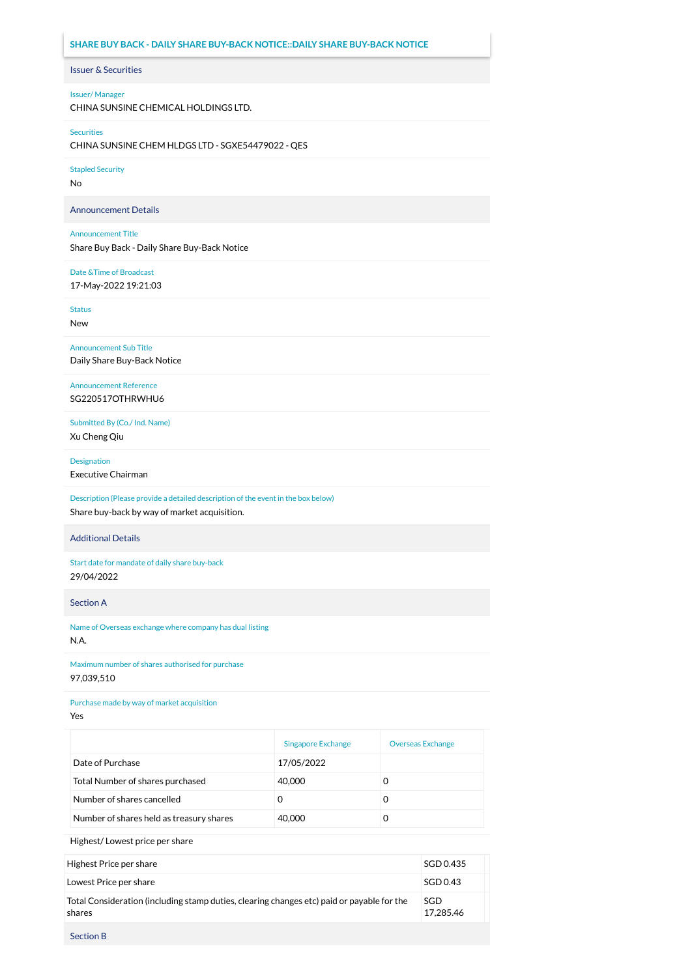# **SHARE BUY BACK - DAILY SHARE BUY-BACK NOTICE::DAILY SHARE BUY-BACK NOTICE**

# Issuer & Securities

## Issuer/ Manager

CHINA SUNSINE CHEMICAL HOLDINGS LTD.

#### Securities

CHINA SUNSINE CHEM HLDGS LTD - SGXE54479022 - QES

Stapled Security

No

Announcement Details

### Announcement Title

Share Buy Back - Daily Share Buy-Back Notice

## Date &Time of Broadcast

17-May-2022 19:21:03

Status

New

Announcement Sub Title Daily Share Buy-Back Notice

Announcement Reference SG220517OTHRWHU6

Submitted By (Co./ Ind. Name) Xu Cheng Qiu

Designation

Executive Chairman

Description (Please provide a detailed description of the event in the box below) Share buy-back by way of market acquisition.

## Additional Details

Start date for mandate of daily share buy-back 29/04/2022

Section A

Name of Overseas exchange where company has dual listing N.A.

Maximum number of shares authorised for purchase 97,039,510

Purchase made by way of market acquisition

Yes

|                                          | <b>Singapore Exchange</b> | <b>Overseas Exchange</b> |
|------------------------------------------|---------------------------|--------------------------|
| Date of Purchase                         | 17/05/2022                |                          |
| Total Number of shares purchased         | 40,000                    | 0                        |
| Number of shares cancelled               |                           | O                        |
| Number of shares held as treasury shares | 40,000                    |                          |

Highest/ Lowest price per share

| Highest Price per share                                                                              | SGD 0.435        |
|------------------------------------------------------------------------------------------------------|------------------|
| Lowest Price per share                                                                               | SGD 0.43         |
| Total Consideration (including stamp duties, clearing changes etc) paid or payable for the<br>shares | SGD<br>17.285.46 |

Section B